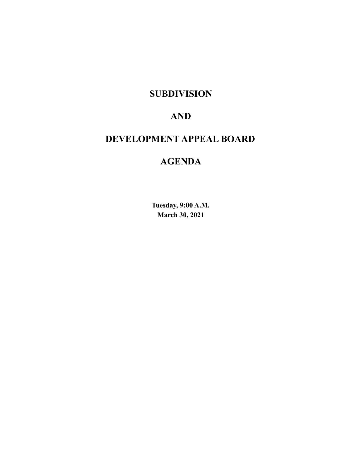# **SUBDIVISION**

# **AND**

# **DEVELOPMENT APPEAL BOARD**

# **AGENDA**

**Tuesday, 9:00 A.M. March 30, 2021**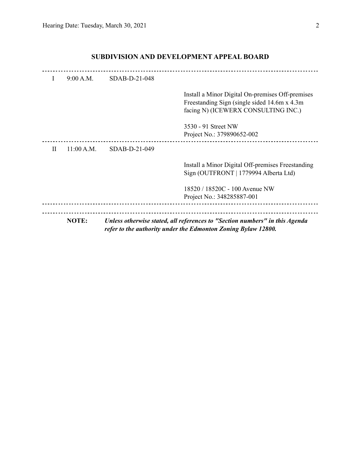| L | 9:00 A.M.  | SDAB-D-21-048 |                                                                                                                                              |
|---|------------|---------------|----------------------------------------------------------------------------------------------------------------------------------------------|
|   |            |               | Install a Minor Digital On-premises Off-premises<br>Freestanding Sign (single sided 14.6m x 4.3m)<br>facing N) (ICEWERX CONSULTING INC.)     |
|   |            |               | 3530 - 91 Street NW<br>Project No.: 379890652-002                                                                                            |
| H | 11:00 A.M. | SDAB-D-21-049 |                                                                                                                                              |
|   |            |               | Install a Minor Digital Off-premises Freestanding<br>Sign (OUTFRONT   1779994 Alberta Ltd)                                                   |
|   |            |               | 18520 / 18520C - 100 Avenue NW<br>Project No.: 348285887-001                                                                                 |
|   | NOTE:      |               | Unless otherwise stated, all references to "Section numbers" in this Agenda<br>refer to the authority under the Edmonton Zoning Bylaw 12800. |

# **SUBDIVISION AND DEVELOPMENT APPEAL BOARD**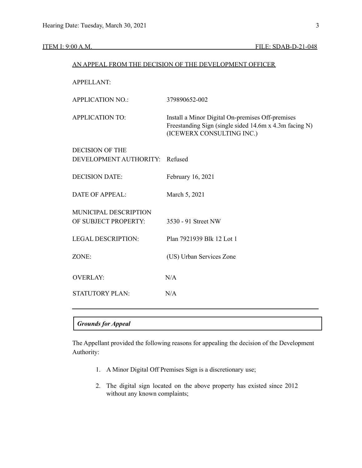| AN APPEAL FROM THE DECISION OF THE DEVELOPMENT OFFICER |                                                                                                                                         |  |  |
|--------------------------------------------------------|-----------------------------------------------------------------------------------------------------------------------------------------|--|--|
| <b>APPELLANT:</b>                                      |                                                                                                                                         |  |  |
| <b>APPLICATION NO.:</b>                                | 379890652-002                                                                                                                           |  |  |
| <b>APPLICATION TO:</b>                                 | Install a Minor Digital On-premises Off-premises<br>Freestanding Sign (single sided 14.6m x 4.3m facing N)<br>(ICEWERX CONSULTING INC.) |  |  |
| <b>DECISION OF THE</b>                                 |                                                                                                                                         |  |  |
| DEVELOPMENT AUTHORITY:                                 | Refused                                                                                                                                 |  |  |
| <b>DECISION DATE:</b>                                  | February 16, 2021                                                                                                                       |  |  |
| <b>DATE OF APPEAL:</b>                                 | March 5, 2021                                                                                                                           |  |  |
| MUNICIPAL DESCRIPTION<br>OF SUBJECT PROPERTY:          | 3530 - 91 Street NW                                                                                                                     |  |  |
| <b>LEGAL DESCRIPTION:</b>                              | Plan 7921939 Blk 12 Lot 1                                                                                                               |  |  |
| ZONE:                                                  | (US) Urban Services Zone                                                                                                                |  |  |
| <b>OVERLAY:</b>                                        | N/A                                                                                                                                     |  |  |
| <b>STATUTORY PLAN:</b>                                 | N/A                                                                                                                                     |  |  |
|                                                        |                                                                                                                                         |  |  |

### *Grounds for Appeal*

The Appellant provided the following reasons for appealing the decision of the Development Authority:

- 1. A Minor Digital Off Premises Sign is a discretionary use;
- 2. The digital sign located on the above property has existed since 2012 without any known complaints;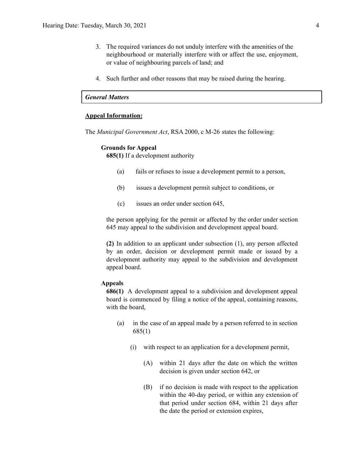- 3. The required variances do not unduly interfere with the amenities of the neighbourhood or materially interfere with or affect the use, enjoyment, or value of neighbouring parcels of land; and
- 4. Such further and other reasons that may be raised during the hearing.

## *General Matters*

#### **Appeal Information:**

The *Municipal Government Act*, RSA 2000, c M-26 states the following:

#### **Grounds for Appeal**

**685(1)** If a development authority

- (a) fails or refuses to issue a development permit to a person,
- (b) issues a development permit subject to conditions, or
- (c) issues an order under section 645,

the person applying for the permit or affected by the order under section 645 may appeal to the subdivision and development appeal board.

**(2)** In addition to an applicant under subsection (1), any person affected by an order, decision or development permit made or issued by a development authority may appeal to the subdivision and development appeal board.

#### **Appeals**

**686(1)** A development appeal to a subdivision and development appeal board is commenced by filing a notice of the appeal, containing reasons, with the board,

- (a) in the case of an appeal made by a person referred to in section 685(1)
	- (i) with respect to an application for a development permit,
		- (A) within 21 days after the date on which the written decision is given under section 642, or
		- (B) if no decision is made with respect to the application within the 40-day period, or within any extension of that period under section 684, within 21 days after the date the period or extension expires,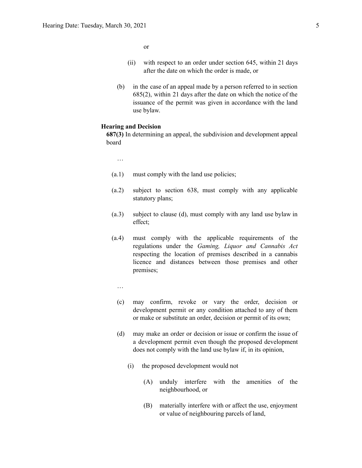or

- (ii) with respect to an order under section 645, within 21 days after the date on which the order is made, or
- (b) in the case of an appeal made by a person referred to in section 685(2), within 21 days after the date on which the notice of the issuance of the permit was given in accordance with the land use bylaw.

#### **Hearing and Decision**

**687(3)** In determining an appeal, the subdivision and development appeal board

…

- (a.1) must comply with the land use policies;
- (a.2) subject to section 638, must comply with any applicable statutory plans;
- (a.3) subject to clause (d), must comply with any land use bylaw in effect;
- (a.4) must comply with the applicable requirements of the regulations under the *Gaming, Liquor and Cannabis Act* respecting the location of premises described in a cannabis licence and distances between those premises and other premises;
	- …
	- (c) may confirm, revoke or vary the order, decision or development permit or any condition attached to any of them or make or substitute an order, decision or permit of its own;
	- (d) may make an order or decision or issue or confirm the issue of a development permit even though the proposed development does not comply with the land use bylaw if, in its opinion,
		- (i) the proposed development would not
			- (A) unduly interfere with the amenities of the neighbourhood, or
			- (B) materially interfere with or affect the use, enjoyment or value of neighbouring parcels of land,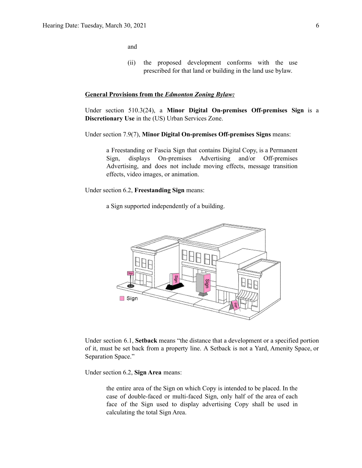and

(ii) the proposed development conforms with the use prescribed for that land or building in the land use bylaw.

#### **General Provisions from the** *Edmonton Zoning Bylaw:*

Under section 510.3(24), a **Minor Digital On-premises Off-premises Sign** is a **Discretionary Use** in the (US) Urban Services Zone.

Under section 7.9(7), **Minor Digital On-premises Off-premises Signs** means:

a Freestanding or Fascia Sign that contains Digital Copy, is a Permanent Sign, displays On-premises Advertising and/or Off-premises Advertising, and does not include moving effects, message transition effects, video images, or animation.

Under section 6.2, **Freestanding Sign** means:

a Sign supported independently of a building.



Under section 6.1, **Setback** means "the distance that a development or a specified portion of it, must be set back from a property line. A Setback is not a Yard, Amenity Space, or Separation Space."

Under section 6.2, **Sign Area** means:

the entire area of the Sign on which Copy is intended to be placed. In the case of double-faced or multi-faced Sign, only half of the area of each face of the Sign used to display advertising Copy shall be used in calculating the total Sign Area.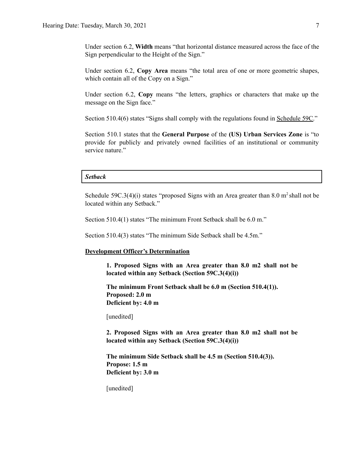Under section 6.2, **Width** means "that horizontal distance measured across the face of the Sign perpendicular to the Height of the Sign."

Under section 6.2, **Copy Area** means "the total area of one or more geometric shapes, which contain all of the Copy on a Sign."

Under section 6.2, **Copy** means "the letters, graphics or characters that make up the message on the Sign face."

Section 510.4(6) states "Signs shall comply with the regulations found in Schedule 59C."

Section 510.1 states that the **General Purpose** of the **(US) Urban Services Zone** is "to provide for publicly and privately owned facilities of an institutional or community service nature."

#### *Setback*

Schedule  $59C.3(4)(i)$  states "proposed Signs with an Area greater than 8.0 m<sup>2</sup> shall not be located within any Setback."

Section 510.4(1) states "The minimum Front Setback shall be 6.0 m."

Section 510.4(3) states "The minimum Side Setback shall be 4.5m."

#### **Development Officer's Determination**

**1. Proposed Signs with an Area greater than 8.0 m2 shall not be located within any Setback (Section 59C.3(4)(i))**

**The minimum Front Setback shall be 6.0 m (Section 510.4(1)). Proposed: 2.0 m Deficient by: 4.0 m**

[unedited]

**2. Proposed Signs with an Area greater than 8.0 m2 shall not be located within any Setback (Section 59C.3(4)(i))**

**The minimum Side Setback shall be 4.5 m (Section 510.4(3)). Propose: 1.5 m Deficient by: 3.0 m**

[unedited]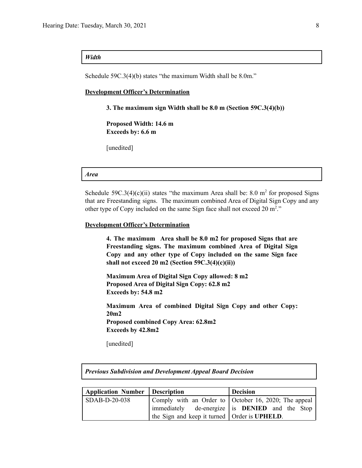### *Width*

Schedule 59C.3(4)(b) states "the maximum Width shall be 8.0m."

#### **Development Officer's Determination**

**3. The maximum sign Width shall be 8.0 m (Section 59C.3(4)(b))**

**Proposed Width: 14.6 m Exceeds by: 6.6 m**

[unedited]

#### *Area*

Schedule  $59C.3(4)(c)(ii)$  states "the maximum Area shall be: 8.0 m<sup>2</sup> for proposed Signs that are Freestanding signs. The maximum combined Area of Digital Sign Copy and any other type of Copy included on the same Sign face shall not exceed 20  $m^2$ ."

#### **Development Officer's Determination**

**4. The maximum Area shall be 8.0 m2 for proposed Signs that are Freestanding signs. The maximum combined Area of Digital Sign Copy and any other type of Copy included on the same Sign face shall not exceed 20 m2 (Section 59C.3(4)(c)(ii))**

**Maximum Area of Digital Sign Copy allowed: 8 m2 Proposed Area of Digital Sign Copy: 62.8 m2 Exceeds by: 54.8 m2**

**Maximum Area of combined Digital Sign Copy and other Copy: 20m2 Proposed combined Copy Area: 62.8m2 Exceeds by 42.8m2**

[unedited]

| <b>Previous Subdivision and Development Appeal Board Decision</b> |  |                 |  |  |
|-------------------------------------------------------------------|--|-----------------|--|--|
|                                                                   |  |                 |  |  |
| Application Number   Description                                  |  | <b>Decision</b> |  |  |
|                                                                   |  |                 |  |  |

| Application Number Description |                                                        | Decision                                              |
|--------------------------------|--------------------------------------------------------|-------------------------------------------------------|
| SDAB-D-20-038                  |                                                        | Comply with an Order to October 16, 2020; The appeal  |
|                                |                                                        | immediately de-energize is <b>DENIED</b> and the Stop |
|                                | the Sign and keep it turned   Order is <b>UPHELD</b> . |                                                       |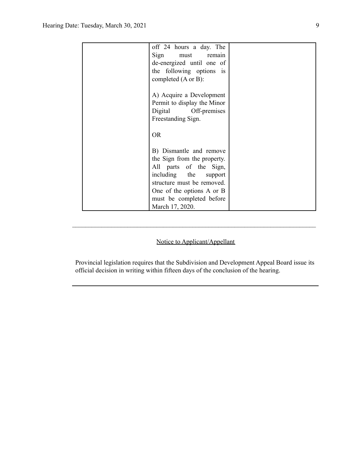| off 24 hours a day. The                  |  |
|------------------------------------------|--|
| Sign<br>must<br>remain                   |  |
| de-energized until one of                |  |
| the following options<br>$\overline{1}S$ |  |
| completed $(A \text{ or } B)$ :          |  |
|                                          |  |
| A) Acquire a Development                 |  |
| Permit to display the Minor              |  |
| Digital Off-premises                     |  |
| Freestanding Sign.                       |  |
|                                          |  |
| <b>OR</b>                                |  |
|                                          |  |
| B) Dismantle and remove                  |  |
| the Sign from the property.              |  |
| All parts of the Sign,                   |  |
| including the<br>support                 |  |
| structure must be removed.               |  |
| One of the options A or B                |  |
| must be completed before                 |  |
| March 17, 2020.                          |  |

# Notice to Applicant/Appellant

 $\mathcal{L}_\text{max} = \frac{1}{2} \sum_{i=1}^n \mathcal{L}_\text{max} = \frac{1}{2} \sum_{i=1}^n \mathcal{L}_\text{max} = \frac{1}{2} \sum_{i=1}^n \mathcal{L}_\text{max} = \frac{1}{2} \sum_{i=1}^n \mathcal{L}_\text{max} = \frac{1}{2} \sum_{i=1}^n \mathcal{L}_\text{max} = \frac{1}{2} \sum_{i=1}^n \mathcal{L}_\text{max} = \frac{1}{2} \sum_{i=1}^n \mathcal{L}_\text{max} = \frac{1}{2} \sum_{i=$ 

Provincial legislation requires that the Subdivision and Development Appeal Board issue its official decision in writing within fifteen days of the conclusion of the hearing.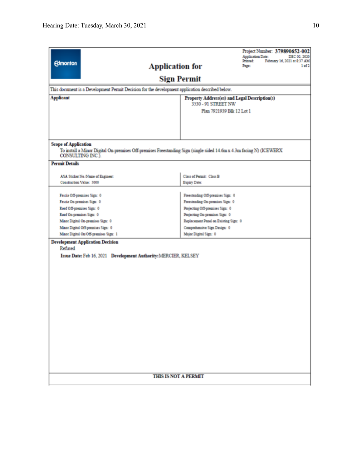|                             |                                                                                                                                                  |                                               | Project Number: 379890652-002<br><b>Application Date:</b><br>DEC 02, 2020 |  |
|-----------------------------|--------------------------------------------------------------------------------------------------------------------------------------------------|-----------------------------------------------|---------------------------------------------------------------------------|--|
| <b>Edmonton</b>             |                                                                                                                                                  |                                               | February 16, 2021 at \$:37 AM<br>Printed:                                 |  |
|                             | <b>Application for</b>                                                                                                                           |                                               | Page:<br>1 of 2                                                           |  |
|                             |                                                                                                                                                  | <b>Sign Permit</b>                            |                                                                           |  |
|                             | This document is a Development Permit Decision for the development application described below.                                                  |                                               |                                                                           |  |
| <b>Applicant</b>            |                                                                                                                                                  | Property Address(es) and Legal Description(s) |                                                                           |  |
|                             |                                                                                                                                                  | 3530 - 91 STREET NW                           |                                                                           |  |
|                             |                                                                                                                                                  | Plan 7921939 Blk 12 Lot 1                     |                                                                           |  |
|                             |                                                                                                                                                  |                                               |                                                                           |  |
|                             |                                                                                                                                                  |                                               |                                                                           |  |
|                             |                                                                                                                                                  |                                               |                                                                           |  |
| <b>Scope of Application</b> |                                                                                                                                                  |                                               |                                                                           |  |
|                             | To install a Minor Digital On-premises Off-premises Freestanding Sign (single sided 14.6m x 4.3m facing N) (ICEWERX<br>CONSULTING INC.).         |                                               |                                                                           |  |
| <b>Permit Details</b>       |                                                                                                                                                  |                                               |                                                                           |  |
|                             | ASA Sticker No./Name of Engineer:                                                                                                                | Class of Permit: Class B                      |                                                                           |  |
|                             | Construction Value: 5000                                                                                                                         | Expiry Date:                                  |                                                                           |  |
|                             |                                                                                                                                                  |                                               |                                                                           |  |
|                             | Fascia Off-premises Sign: 0                                                                                                                      | Freestanding Off-premises Sign: 0             |                                                                           |  |
|                             | Fascia On-premises Sign: 0                                                                                                                       | Freestanding On-premises Sign: 0              |                                                                           |  |
| Roof Off-premises Sign: 0   |                                                                                                                                                  | Projecting Off-premises Sign: 0               |                                                                           |  |
| Roof On-premises Sign: 0    |                                                                                                                                                  | Projecting On-premises Sign: 0                |                                                                           |  |
|                             | Minor Digital On-premises Sign: 0<br>Replacement Panel on Existing Sign: 0<br>Minor Digital Off-premises Sign: 0<br>Comprehensive Sign Design: 0 |                                               |                                                                           |  |
|                             | Minor Digital On/Off-premises Sign: 1                                                                                                            | Major Digital Sign: 0                         |                                                                           |  |
|                             | <b>Development Application Decision</b>                                                                                                          |                                               |                                                                           |  |
| Refused                     |                                                                                                                                                  |                                               |                                                                           |  |
|                             | Issue Date: Feb 16, 2021 Development Authority: MERCIER, KELSEY                                                                                  |                                               |                                                                           |  |
|                             |                                                                                                                                                  |                                               |                                                                           |  |
|                             |                                                                                                                                                  |                                               |                                                                           |  |
|                             |                                                                                                                                                  |                                               |                                                                           |  |
|                             |                                                                                                                                                  |                                               |                                                                           |  |
|                             |                                                                                                                                                  |                                               |                                                                           |  |
|                             |                                                                                                                                                  |                                               |                                                                           |  |
|                             |                                                                                                                                                  |                                               |                                                                           |  |
|                             |                                                                                                                                                  |                                               |                                                                           |  |
|                             |                                                                                                                                                  |                                               |                                                                           |  |
|                             |                                                                                                                                                  |                                               |                                                                           |  |
|                             |                                                                                                                                                  |                                               |                                                                           |  |
|                             |                                                                                                                                                  |                                               |                                                                           |  |
|                             |                                                                                                                                                  |                                               |                                                                           |  |
|                             |                                                                                                                                                  |                                               |                                                                           |  |
|                             |                                                                                                                                                  |                                               |                                                                           |  |
|                             |                                                                                                                                                  |                                               |                                                                           |  |
| <b>THIS IS NOT A PERMIT</b> |                                                                                                                                                  |                                               |                                                                           |  |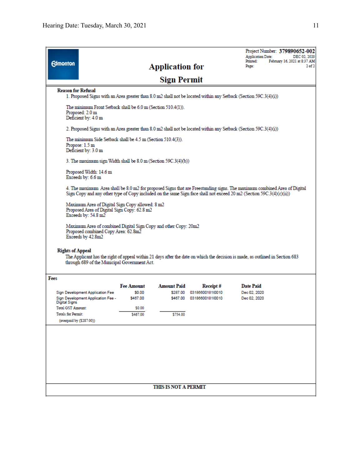| <b>Edmonton</b>                           |                                                                                                                                                                                                          |                    | <b>Application for</b> |                                                        | Project Number: 379890652-002<br><b>Application Date:</b><br>DEC 02, 2020<br>February 16, 2021 at 8:37 AM<br>Printed:<br>$2$ of $2$<br>Page:                                                                                                     |  |
|-------------------------------------------|----------------------------------------------------------------------------------------------------------------------------------------------------------------------------------------------------------|--------------------|------------------------|--------------------------------------------------------|--------------------------------------------------------------------------------------------------------------------------------------------------------------------------------------------------------------------------------------------------|--|
|                                           |                                                                                                                                                                                                          |                    | Sign Permit            |                                                        |                                                                                                                                                                                                                                                  |  |
| <b>Reason for Refusal</b>                 |                                                                                                                                                                                                          |                    |                        |                                                        | 1. Proposed Signs with an Area greater than 8.0 m2 shall not be located within any Setback (Section 59C.3(4)(i))                                                                                                                                 |  |
|                                           | The minimum Front Setback shall be 6.0 m (Section 510.4(1)).<br>Proposed: 2.0 m<br>Deficient by: 4.0 m                                                                                                   |                    |                        |                                                        |                                                                                                                                                                                                                                                  |  |
|                                           |                                                                                                                                                                                                          |                    |                        |                                                        | 2. Proposed Signs with an Area greater than 8.0 m2 shall not be located within any Setback (Section 59C.3(4)(i))                                                                                                                                 |  |
|                                           | The minimum Side Setback shall be 4.5 m (Section 510.4(3)).<br>Propose: 1.5 m<br>Deficient by: 3.0 m                                                                                                     |                    |                        |                                                        |                                                                                                                                                                                                                                                  |  |
|                                           | 3. The maximum sign Width shall be 8.0 m (Section 59C.3(4)(b))                                                                                                                                           |                    |                        |                                                        |                                                                                                                                                                                                                                                  |  |
|                                           | Proposed Width: 14.6 m<br>Exceeds by: 6.6 m                                                                                                                                                              |                    |                        |                                                        |                                                                                                                                                                                                                                                  |  |
|                                           |                                                                                                                                                                                                          |                    |                        |                                                        | 4. The maximum Area shall be 8.0 m2 for proposed Signs that are Freestanding signs. The maximum combined Area of Digital<br>Sign Copy and any other type of Copy included on the same Sign face shall not exceed 20 m2 (Section 59C.3(4)(c)(ii)) |  |
|                                           | Maximum Area of Digital Sign Copy allowed: 8 m2<br>Proposed Area of Digital Sign Copy: 62.8 m2<br>Exceeds by: $54.8 \text{ m}2$                                                                          |                    |                        |                                                        |                                                                                                                                                                                                                                                  |  |
|                                           | Maximum Area of combined Digital Sign Copy and other Copy: 20m2<br>Proposed combined Copy Area: 62.8m2<br>Exceeds by 42.8m2                                                                              |                    |                        |                                                        |                                                                                                                                                                                                                                                  |  |
|                                           | <b>Rights of Appeal</b><br>The Applicant has the right of appeal within 21 days after the date on which the decision is made, as outlined in Section 683<br>through 689 of the Municipal Government Act. |                    |                        |                                                        |                                                                                                                                                                                                                                                  |  |
| Fees                                      |                                                                                                                                                                                                          |                    |                        |                                                        |                                                                                                                                                                                                                                                  |  |
|                                           |                                                                                                                                                                                                          | <b>Fee Amount</b>  | <b>Amount Paid</b>     | Receipt#                                               | <b>Date Paid</b>                                                                                                                                                                                                                                 |  |
|                                           | Sign Development Application Fee<br>Sign Development Application Fee -                                                                                                                                   | \$0.00<br>\$467.00 |                        | \$287.00 03186600181l0010<br>\$467.00 03186600181l0010 | Dec 02, 2020<br>Dec 02, 2020                                                                                                                                                                                                                     |  |
| Digital Signs<br><b>Total GST Amount:</b> |                                                                                                                                                                                                          | \$0.00             |                        |                                                        |                                                                                                                                                                                                                                                  |  |
| <b>Totals for Permit:</b>                 |                                                                                                                                                                                                          | \$467.00           | \$754.00               |                                                        |                                                                                                                                                                                                                                                  |  |
| (overpaid by (\$287.00))                  |                                                                                                                                                                                                          |                    |                        |                                                        |                                                                                                                                                                                                                                                  |  |
|                                           |                                                                                                                                                                                                          |                    |                        |                                                        |                                                                                                                                                                                                                                                  |  |
|                                           |                                                                                                                                                                                                          |                    |                        |                                                        |                                                                                                                                                                                                                                                  |  |
|                                           |                                                                                                                                                                                                          |                    |                        |                                                        |                                                                                                                                                                                                                                                  |  |
|                                           |                                                                                                                                                                                                          |                    |                        |                                                        |                                                                                                                                                                                                                                                  |  |
|                                           |                                                                                                                                                                                                          |                    |                        |                                                        |                                                                                                                                                                                                                                                  |  |
|                                           |                                                                                                                                                                                                          |                    |                        |                                                        |                                                                                                                                                                                                                                                  |  |
|                                           |                                                                                                                                                                                                          |                    | THIS IS NOT A PERMIT   |                                                        |                                                                                                                                                                                                                                                  |  |
|                                           |                                                                                                                                                                                                          |                    |                        |                                                        |                                                                                                                                                                                                                                                  |  |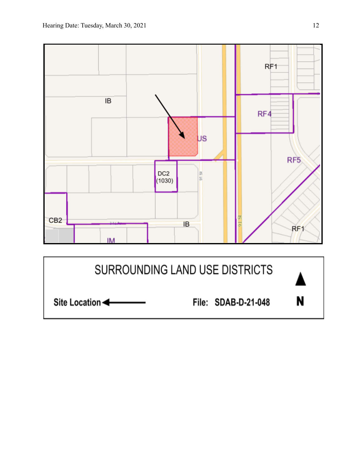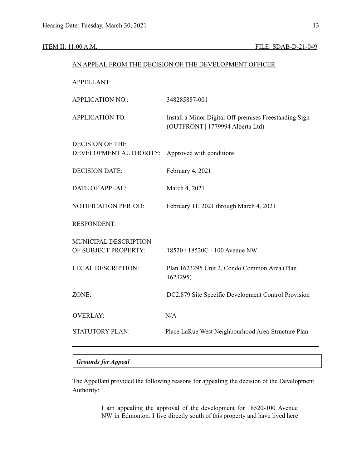| AN APPEAL FROM THE DECISION OF THE DEVELOPMENT OFFICER |                                                                                            |  |  |
|--------------------------------------------------------|--------------------------------------------------------------------------------------------|--|--|
| <b>APPELLANT:</b>                                      |                                                                                            |  |  |
| <b>APPLICATION NO.:</b>                                | 348285887-001                                                                              |  |  |
| <b>APPLICATION TO:</b>                                 | Install a Minor Digital Off-premises Freestanding Sign<br>(OUTFRONT   1779994 Alberta Ltd) |  |  |
| <b>DECISION OF THE</b><br>DEVELOPMENT AUTHORITY:       | Approved with conditions                                                                   |  |  |
| <b>DECISION DATE:</b>                                  | February 4, 2021                                                                           |  |  |
| <b>DATE OF APPEAL:</b>                                 | March 4, 2021                                                                              |  |  |
| NOTIFICATION PERIOD:                                   | February 11, 2021 through March 4, 2021                                                    |  |  |
| <b>RESPONDENT:</b>                                     |                                                                                            |  |  |
| MUNICIPAL DESCRIPTION<br>OF SUBJECT PROPERTY:          | 18520 / 18520C - 100 Avenue NW                                                             |  |  |
| <b>LEGAL DESCRIPTION:</b>                              | Plan 1623295 Unit 2, Condo Common Area (Plan<br>1623295)                                   |  |  |
| ZONE:                                                  | DC2.879 Site Specific Development Control Provision                                        |  |  |
| <b>OVERLAY:</b>                                        | N/A                                                                                        |  |  |
| <b>STATUTORY PLAN:</b>                                 | Place LaRue West Neighbourhood Area Structure Plan                                         |  |  |

# *Grounds for Appeal*

The Appellant provided the following reasons for appealing the decision of the Development Authority:

> I am appealing the approval of the development for 18520-100 Avenue NW in Edmonton. I live directly south of this property and have lived here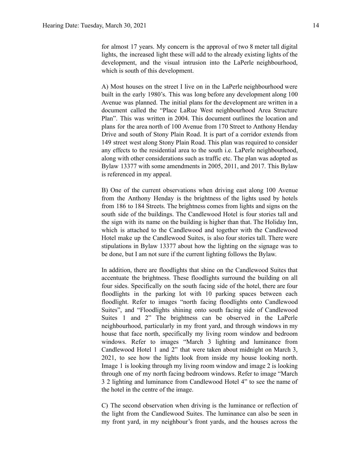for almost 17 years. My concern is the approval of two 8 meter tall digital lights, the increased light these will add to the already existing lights of the development, and the visual intrusion into the LaPerle neighbourhood, which is south of this development.

A) Most houses on the street I live on in the LaPerle neighbourhood were built in the early 1980's. This was long before any development along 100 Avenue was planned. The initial plans for the development are written in a document called the "Place LaRue West neighbourhood Area Structure Plan". This was written in 2004. This document outlines the location and plans for the area north of 100 Avenue from 170 Street to Anthony Henday Drive and south of Stony Plain Road. It is part of a corridor extends from 149 street west along Stony Plain Road. This plan was required to consider any effects to the residential area to the south i.e. LaPerle neighbourhood, along with other considerations such as traffic etc. The plan was adopted as Bylaw 13377 with some amendments in 2005, 2011, and 2017. This Bylaw is referenced in my appeal.

B) One of the current observations when driving east along 100 Avenue from the Anthony Henday is the brightness of the lights used by hotels from 186 to 184 Streets. The brightness comes from lights and signs on the south side of the buildings. The Candlewood Hotel is four stories tall and the sign with its name on the building is higher than that. The Holiday Inn, which is attached to the Candlewood and together with the Candlewood Hotel make up the Candlewood Suites, is also four stories tall. There were stipulations in Bylaw 13377 about how the lighting on the signage was to be done, but I am not sure if the current lighting follows the Bylaw.

In addition, there are floodlights that shine on the Candlewood Suites that accentuate the brightness. These floodlights surround the building on all four sides. Specifically on the south facing side of the hotel, there are four floodlights in the parking lot with 10 parking spaces between each floodlight. Refer to images "north facing floodlights onto Candlewood Suites", and "Floodlights shining onto south facing side of Candlewood Suites 1 and 2" The brightness can be observed in the LaPerle neighbourhood, particularly in my front yard, and through windows in my house that face north, specifically my living room window and bedroom windows. Refer to images "March 3 lighting and luminance from Candlewood Hotel 1 and 2" that were taken about midnight on March 3, 2021, to see how the lights look from inside my house looking north. Image 1 is looking through my living room window and image 2 is looking through one of my north facing bedroom windows. Refer to image "March 3 2 lighting and luminance from Candlewood Hotel 4" to see the name of the hotel in the centre of the image.

C) The second observation when driving is the luminance or reflection of the light from the Candlewood Suites. The luminance can also be seen in my front yard, in my neighbour's front yards, and the houses across the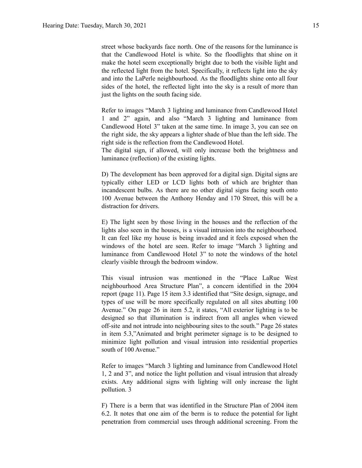street whose backyards face north. One of the reasons for the luminance is that the Candlewood Hotel is white. So the floodlights that shine on it make the hotel seem exceptionally bright due to both the visible light and the reflected light from the hotel. Specifically, it reflects light into the sky and into the LaPerle neighbourhood. As the floodlights shine onto all four sides of the hotel, the reflected light into the sky is a result of more than just the lights on the south facing side.

Refer to images "March 3 lighting and luminance from Candlewood Hotel 1 and 2" again, and also "March 3 lighting and luminance from Candlewood Hotel 3" taken at the same time. In image 3, you can see on the right side, the sky appears a lighter shade of blue than the left side. The right side is the reflection from the Candlewood Hotel.

The digital sign, if allowed, will only increase both the brightness and luminance (reflection) of the existing lights.

D) The development has been approved for a digital sign. Digital signs are typically either LED or LCD lights both of which are brighter than incandescent bulbs. As there are no other digital signs facing south onto 100 Avenue between the Anthony Henday and 170 Street, this will be a distraction for drivers.

E) The light seen by those living in the houses and the reflection of the lights also seen in the houses, is a visual intrusion into the neighbourhood. It can feel like my house is being invaded and it feels exposed when the windows of the hotel are seen. Refer to image "March 3 lighting and luminance from Candlewood Hotel 3" to note the windows of the hotel clearly visible through the bedroom window.

This visual intrusion was mentioned in the "Place LaRue West neighbourhood Area Structure Plan", a concern identified in the 2004 report (page 11). Page 15 item 3.3 identified that "Site design, signage, and types of use will be more specifically regulated on all sites abutting 100 Avenue." On page 26 in item 5.2, it states, "All exterior lighting is to be designed so that illumination is indirect from all angles when viewed off-site and not intrude into neighbouring sites to the south." Page 26 states in item 5.3,"Animated and bright perimeter signage is to be designed to minimize light pollution and visual intrusion into residential properties south of 100 Avenue."

Refer to images "March 3 lighting and luminance from Candlewood Hotel 1, 2 and 3", and notice the light pollution and visual intrusion that already exists. Any additional signs with lighting will only increase the light pollution. 3

F) There is a berm that was identified in the Structure Plan of 2004 item 6.2. It notes that one aim of the berm is to reduce the potential for light penetration from commercial uses through additional screening. From the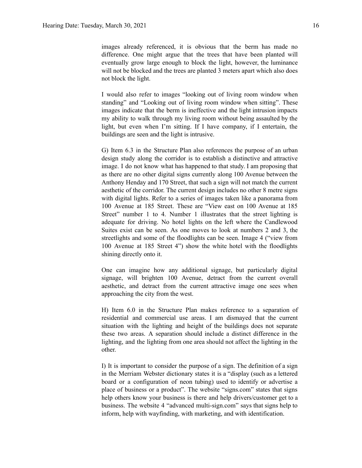images already referenced, it is obvious that the berm has made no difference. One might argue that the trees that have been planted will eventually grow large enough to block the light, however, the luminance will not be blocked and the trees are planted 3 meters apart which also does not block the light.

I would also refer to images "looking out of living room window when standing" and "Looking out of living room window when sitting". These images indicate that the berm is ineffective and the light intrusion impacts my ability to walk through my living room without being assaulted by the light, but even when I'm sitting. If I have company, if I entertain, the buildings are seen and the light is intrusive.

G) Item 6.3 in the Structure Plan also references the purpose of an urban design study along the corridor is to establish a distinctive and attractive image. I do not know what has happened to that study. I am proposing that as there are no other digital signs currently along 100 Avenue between the Anthony Henday and 170 Street, that such a sign will not match the current aesthetic of the corridor. The current design includes no other 8 metre signs with digital lights. Refer to a series of images taken like a panorama from 100 Avenue at 185 Street. These are "View east on 100 Avenue at 185 Street" number 1 to 4. Number 1 illustrates that the street lighting is adequate for driving. No hotel lights on the left where the Candlewood Suites exist can be seen. As one moves to look at numbers 2 and 3, the streetlights and some of the floodlights can be seen. Image 4 ("view from 100 Avenue at 185 Street 4") show the white hotel with the floodlights shining directly onto it.

One can imagine how any additional signage, but particularly digital signage, will brighten 100 Avenue, detract from the current overall aesthetic, and detract from the current attractive image one sees when approaching the city from the west.

H) Item 6.0 in the Structure Plan makes reference to a separation of residential and commercial use areas. I am dismayed that the current situation with the lighting and height of the buildings does not separate these two areas. A separation should include a distinct difference in the lighting, and the lighting from one area should not affect the lighting in the other.

I) It is important to consider the purpose of a sign. The definition of a sign in the Merriam Webster dictionary states it is a "display (such as a lettered board or a configuration of neon tubing) used to identify or advertise a place of business or a product". The website "signs.com" states that signs help others know your business is there and help drivers/customer get to a business. The website 4 "advanced multi-sign.com" says that signs help to inform, help with wayfinding, with marketing, and with identification.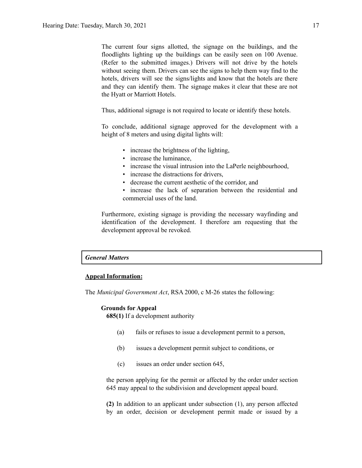The current four signs allotted, the signage on the buildings, and the floodlights lighting up the buildings can be easily seen on 100 Avenue. (Refer to the submitted images.) Drivers will not drive by the hotels without seeing them. Drivers can see the signs to help them way find to the hotels, drivers will see the signs/lights and know that the hotels are there and they can identify them. The signage makes it clear that these are not the Hyatt or Marriott Hotels.

Thus, additional signage is not required to locate or identify these hotels.

To conclude, additional signage approved for the development with a height of 8 meters and using digital lights will:

- increase the brightness of the lighting,
- increase the luminance,
- increase the visual intrusion into the LaPerle neighbourhood,
- increase the distractions for drivers.
- decrease the current aesthetic of the corridor, and
- increase the lack of separation between the residential and commercial uses of the land.

Furthermore, existing signage is providing the necessary wayfinding and identification of the development. I therefore am requesting that the development approval be revoked.

#### *General Matters*

### **Appeal Information:**

The *Municipal Government Act*, RSA 2000, c M-26 states the following:

#### **Grounds for Appeal**

**685(1)** If a development authority

- (a) fails or refuses to issue a development permit to a person,
- (b) issues a development permit subject to conditions, or
- (c) issues an order under section 645,

the person applying for the permit or affected by the order under section 645 may appeal to the subdivision and development appeal board.

**(2)** In addition to an applicant under subsection (1), any person affected by an order, decision or development permit made or issued by a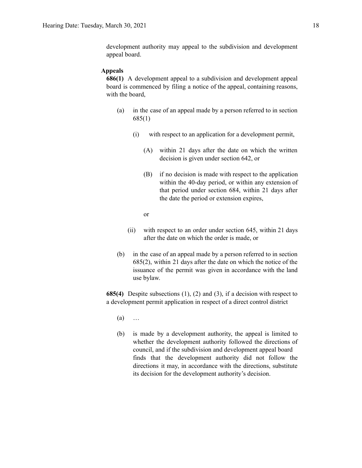development authority may appeal to the subdivision and development appeal board.

#### **Appeals**

**686(1)** A development appeal to a subdivision and development appeal board is commenced by filing a notice of the appeal, containing reasons, with the board,

- (a) in the case of an appeal made by a person referred to in section 685(1)
	- (i) with respect to an application for a development permit,
		- (A) within 21 days after the date on which the written decision is given under section 642, or
		- (B) if no decision is made with respect to the application within the 40-day period, or within any extension of that period under section 684, within 21 days after the date the period or extension expires,
		- or
	- (ii) with respect to an order under section 645, within 21 days after the date on which the order is made, or
- (b) in the case of an appeal made by a person referred to in section 685(2), within 21 days after the date on which the notice of the issuance of the permit was given in accordance with the land use bylaw.

**685(4)** Despite subsections (1), (2) and (3), if a decision with respect to a development permit application in respect of a direct control district

- (a) …
- (b) is made by a development authority, the appeal is limited to whether the development authority followed the directions of council, and if the subdivision and development appeal board finds that the development authority did not follow the directions it may, in accordance with the directions, substitute its decision for the development authority's decision.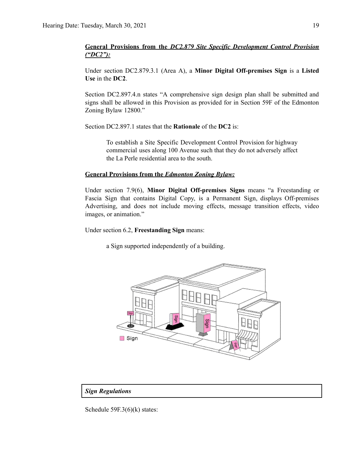### **General Provisions from the** *DC2.879 Site Specific Development Control Provision ("DC2"):*

Under section DC2.879.3.1 (Area A), a **Minor Digital Off-premises Sign** is a **Listed Use** in the **DC2**.

Section DC2.897.4.n states "A comprehensive sign design plan shall be submitted and signs shall be allowed in this Provision as provided for in Section 59F of the Edmonton Zoning Bylaw 12800."

Section DC2.897.1 states that the **Rationale** of the **DC2** is:

To establish a Site Specific Development Control Provision for highway commercial uses along 100 Avenue such that they do not adversely affect the La Perle residential area to the south.

#### **General Provisions from the** *Edmonton Zoning Bylaw:*

Under section 7.9(6), **Minor Digital Off-premises Signs** means "a Freestanding or Fascia Sign that contains Digital Copy, is a Permanent Sign, displays Off-premises Advertising, and does not include moving effects, message transition effects, video images, or animation."

Under section 6.2, **Freestanding Sign** means:

a Sign supported independently of a building.



#### *Sign Regulations*

Schedule 59F.3(6)(k) states: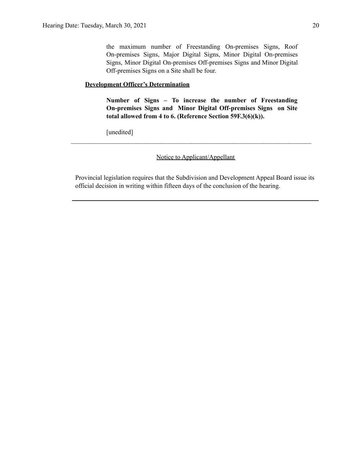the maximum number of Freestanding On-premises Signs, Roof On-premises Signs, Major Digital Signs, Minor Digital On-premises Signs, Minor Digital On-premises Off-premises Signs and Minor Digital Off-premises Signs on a Site shall be four.

## **Development Officer's Determination**

**Number of Signs – To increase the number of Freestanding On-premises Signs and Minor Digital Off-premises Signs on Site total allowed from 4 to 6. (Reference Section 59F.3(6)(k)).**

[unedited]

Notice to Applicant/Appellant

 $\mathcal{L}_\text{max} = \frac{1}{2} \sum_{i=1}^n \mathcal{L}_\text{max}(\mathbf{x}_i - \mathbf{y}_i)$ 

Provincial legislation requires that the Subdivision and Development Appeal Board issue its official decision in writing within fifteen days of the conclusion of the hearing.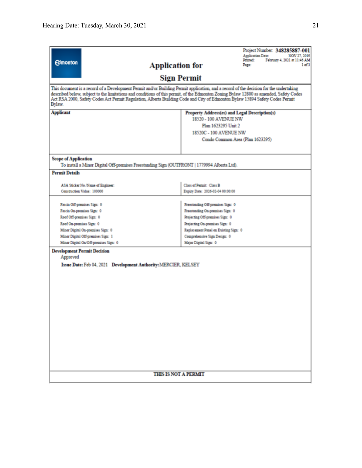| <b>Edmonton</b>                                                                                                                                                                                                                                                                                                                                                                                                            | Project Number: 348285887-001<br><b>Application Date:</b><br>NOV 27, 2019<br>Printed:<br>February 4, 2021 at 11:46 AM<br><b>Application for</b><br>Page:<br>1 <sub>of</sub> 3 |  |  |  |  |
|----------------------------------------------------------------------------------------------------------------------------------------------------------------------------------------------------------------------------------------------------------------------------------------------------------------------------------------------------------------------------------------------------------------------------|-------------------------------------------------------------------------------------------------------------------------------------------------------------------------------|--|--|--|--|
|                                                                                                                                                                                                                                                                                                                                                                                                                            | <b>Sign Permit</b>                                                                                                                                                            |  |  |  |  |
| This document is a record of a Development Permit and/or Building Permit application, and a record of the decision for the undertaking<br>described below, subject to the limitations and conditions of this permit, of the Edmonton Zoning Bylaw 12800 as amended, Safety Codes<br>Act RSA 2000, Safety Codes Act Permit Regulation, Alberta Building Code and City of Edmonton Bylaw 15894 Safety Codes Permit<br>Bylaw. |                                                                                                                                                                               |  |  |  |  |
| <b>Applicant</b>                                                                                                                                                                                                                                                                                                                                                                                                           | Property Address(es) and Legal Description(s)                                                                                                                                 |  |  |  |  |
|                                                                                                                                                                                                                                                                                                                                                                                                                            | 18520 - 100 AVENUE NW                                                                                                                                                         |  |  |  |  |
|                                                                                                                                                                                                                                                                                                                                                                                                                            | Plan 1623295 Unit 2                                                                                                                                                           |  |  |  |  |
|                                                                                                                                                                                                                                                                                                                                                                                                                            | 18520C - 100 AVENUE NW                                                                                                                                                        |  |  |  |  |
|                                                                                                                                                                                                                                                                                                                                                                                                                            | Condo Common Area (Plan 1623295)                                                                                                                                              |  |  |  |  |
| <b>Scope of Application</b><br>To install a Minor Digital Off-premises Freestanding Sign (OUTFRONT   1779994 Alberta Ltd).<br><b>Permit Details</b>                                                                                                                                                                                                                                                                        |                                                                                                                                                                               |  |  |  |  |
|                                                                                                                                                                                                                                                                                                                                                                                                                            |                                                                                                                                                                               |  |  |  |  |
| ASA Sticker No./Name of Engineer:                                                                                                                                                                                                                                                                                                                                                                                          | Class of Permit: Class B                                                                                                                                                      |  |  |  |  |
| Construction Value: 100000                                                                                                                                                                                                                                                                                                                                                                                                 | Expiry Date: 2026-02-04 00:00:00                                                                                                                                              |  |  |  |  |
| Fascia Off-premises Sign: 0                                                                                                                                                                                                                                                                                                                                                                                                | Freestanding Off-premises Sign: 0                                                                                                                                             |  |  |  |  |
| Fascia On-premises Sign: 0                                                                                                                                                                                                                                                                                                                                                                                                 | Freestanding On-premises Sign: 0                                                                                                                                              |  |  |  |  |
| Roof Off-premises Sign: 0                                                                                                                                                                                                                                                                                                                                                                                                  | Projecting Off-premises Sign: 0                                                                                                                                               |  |  |  |  |
| Roof On-premises Sign: 0                                                                                                                                                                                                                                                                                                                                                                                                   | Projecting On-premises Sign: 0                                                                                                                                                |  |  |  |  |
| Minor Digital On-premises Sign: 0                                                                                                                                                                                                                                                                                                                                                                                          | Replacement Panel on Existing Sign: 0                                                                                                                                         |  |  |  |  |
| Minor Digital Off-premises Sign: 1                                                                                                                                                                                                                                                                                                                                                                                         | Comprehensive Sign Design: 0                                                                                                                                                  |  |  |  |  |
| Minor Digital On/Off-premises Sign: 0                                                                                                                                                                                                                                                                                                                                                                                      | Major Digital Sign: 0                                                                                                                                                         |  |  |  |  |
| <b>Development Permit Decision</b><br>Approved<br>Issue Date: Feb 04, 2021 Development Authority: MERCIER, KELSEY                                                                                                                                                                                                                                                                                                          |                                                                                                                                                                               |  |  |  |  |
| <b>THIS IS NOT A PERMIT</b>                                                                                                                                                                                                                                                                                                                                                                                                |                                                                                                                                                                               |  |  |  |  |
|                                                                                                                                                                                                                                                                                                                                                                                                                            |                                                                                                                                                                               |  |  |  |  |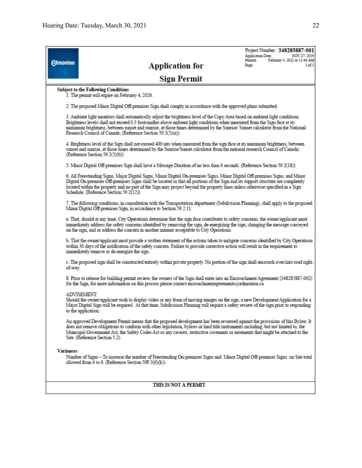|                                        |                                                                                                                                                                                                                                                                                                                                                                                                                                                          | <b>Application Date:</b><br>Printed: | Project Number: 348285887-001<br>NOV 27, 2019<br>February 4, 2021 at 11:46 AM |
|----------------------------------------|----------------------------------------------------------------------------------------------------------------------------------------------------------------------------------------------------------------------------------------------------------------------------------------------------------------------------------------------------------------------------------------------------------------------------------------------------------|--------------------------------------|-------------------------------------------------------------------------------|
| <b>Edmonton</b>                        | <b>Application for</b>                                                                                                                                                                                                                                                                                                                                                                                                                                   | Page:                                | 2 <sub>of</sub> 3                                                             |
|                                        | <b>Sign Permit</b>                                                                                                                                                                                                                                                                                                                                                                                                                                       |                                      |                                                                               |
|                                        | <b>Subject to the Following Conditions</b><br>1. The permit will expire on February 4, 2026.                                                                                                                                                                                                                                                                                                                                                             |                                      |                                                                               |
|                                        | 2. The proposed Minor Digital Off-premises Sign shall comply in accordance with the approved plans submitted.                                                                                                                                                                                                                                                                                                                                            |                                      |                                                                               |
|                                        | 3. Ambient light monitors shall automatically adjust the brightness level of the Copy Area based on ambient light conditions.<br>Brightness levels shall not exceed 0.3 footcandles above ambient light conditions when measured from the Sign face at its<br>maximum brightness, between sunset and sunrise, at those times determined by the Sunrise/Sunset calculator from the National<br>Research Council of Canada; (Reference Section 59.2(5)(a)) |                                      |                                                                               |
|                                        | 4. Brightness level of the Sign shall not exceed 400 nits when measured from the sign face at its maximum brightness, between<br>sunset and sunrise, at those times determined by the Sunrise/Sunset calculator from the national research Council of Canada;<br>(Reference Section 59.2(5)(b))                                                                                                                                                          |                                      |                                                                               |
|                                        | 5. Minor Digital Off-premises Sign shall have a Message Duration of no less than 6 seconds. (Reference Section 59.2(18)).                                                                                                                                                                                                                                                                                                                                |                                      |                                                                               |
| Schedule. (Reference Section 59.2(12)) | 6. All Freestanding Signs, Major Digital Signs, Minor Digital On-premises Signs, Minor Digital Off-premises Signs, and Minor<br>Digital On-premises Off-premises Signs shall be located so that all portions of the Sign and its support structure are completely<br>located within the property and no part of the Sign may project beyond the property lines unless otherwise specified in a Sign                                                      |                                      |                                                                               |
|                                        | 7. The following conditions, in consultation with the Transportation department (Subdivision Planning), shall apply to the proposed<br>Minor Digital Off-premises Sign, in accordance to Section 59.2.11:                                                                                                                                                                                                                                                |                                      |                                                                               |
|                                        | a. That, should at any time, City Operations determine that the sign face contributes to safety concerns, the owner/applicant must<br>immediately address the safety concerns identified by removing the sign, de-energizing the sign, changing the message conveyed<br>on the sign, and or address the concern in another manner acceptable to City Operations.                                                                                         |                                      |                                                                               |
|                                        | b. That the owner/applicant must provide a written statement of the actions taken to mitigate concerns identified by City Operations<br>within 30 days of the notification of the safety concern. Failure to provide corrective action will result in the requirement to<br>immediately remove or de-energize the sign.                                                                                                                                  |                                      |                                                                               |
| of-way.                                | c. The proposed sign shall be constructed entirely within private property. No portion of the sign shall encroach over/into road right-                                                                                                                                                                                                                                                                                                                  |                                      |                                                                               |
|                                        | 8. Prior to release for building permit review, the owners of the Sign shall enter into an Encroachment Agreement (348285887-002)<br>for the Sign, for more information on this process please contact encroachmentagreements@edmonton.ca                                                                                                                                                                                                                |                                      |                                                                               |
|                                        | ADVISEMENT:<br>Should the owner/applicant wish to display video or any form of moving images on the sign, a new Development Application for a<br>Major Digital Sign will be required. At that time, Subdivision Planning will require a safety review of the sign prior to responding<br>to the application.                                                                                                                                             |                                      |                                                                               |
|                                        | An approved Development Permit means that the proposed development has been reviewed against the provisions of this Bylaw. It<br>does not remove obligations to conform with other legislation, bylaws or land title instruments including, but not limited to, the<br>Municipal Government Act, the Safety Codes Act or any caveats, restrictive covenants or easements that might be attached to the<br>Site. (Reference Section 5.2).                 |                                      |                                                                               |
| <b>Variances</b>                       |                                                                                                                                                                                                                                                                                                                                                                                                                                                          |                                      |                                                                               |
|                                        | Number of Signs - To increase the number of Freestanding On-premises Signs and Minor Digital Off-premises Signs on Site total<br>allowed from 4 to 6. (Reference Section 59F.3(6)(k)).                                                                                                                                                                                                                                                                   |                                      |                                                                               |

### THIS IS NOT A PERMIT